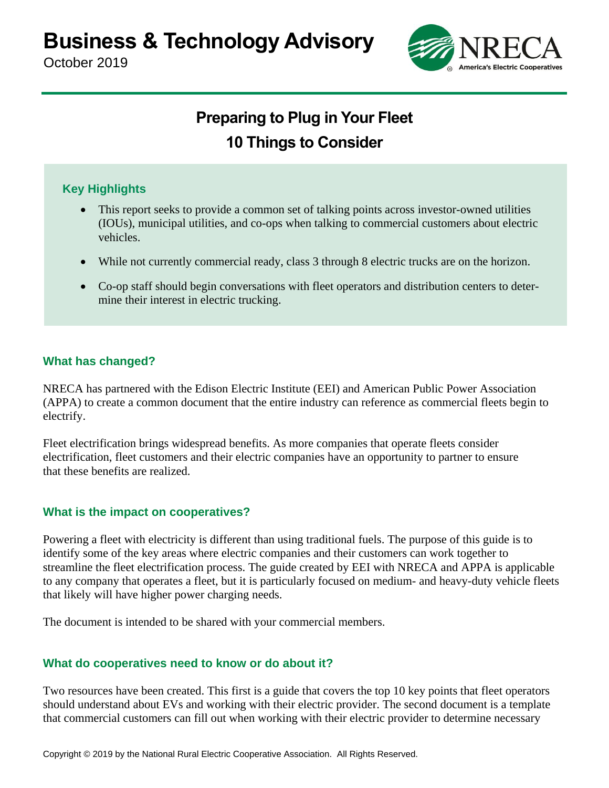**Business & Technology Advisory**

October 2019



# **Preparing to Plug in Your Fleet 10 Things to Consider**

# **Key Highlights**

- This report seeks to provide a common set of talking points across investor-owned utilities (IOUs), municipal utilities, and co-ops when talking to commercial customers about electric vehicles.
- While not currently commercial ready, class 3 through 8 electric trucks are on the horizon.
- Co-op staff should begin conversations with fleet operators and distribution centers to determine their interest in electric trucking.

## **What has changed?**

NRECA has partnered with the Edison Electric Institute (EEI) and American Public Power Association (APPA) to create a common document that the entire industry can reference as commercial fleets begin to electrify.

Fleet electrification brings widespread benefits. As more companies that operate fleets consider electrification, fleet customers and their electric companies have an opportunity to partner to ensure that these benefits are realized.

#### **What is the impact on cooperatives?**

Powering a fleet with electricity is different than using traditional fuels. The purpose of this guide is to identify some of the key areas where electric companies and their customers can work together to streamline the fleet electrification process. The guide created by EEI with NRECA and APPA is applicable to any company that operates a fleet, but it is particularly focused on medium- and heavy-duty vehicle fleets that likely will have higher power charging needs.

The document is intended to be shared with your commercial members.

#### **What do cooperatives need to know or do about it?**

Two resources have been created. This first is a guide that covers the top 10 key points that fleet operators should understand about EVs and working with their electric provider. The second document is a template that commercial customers can fill out when working with their electric provider to determine necessary